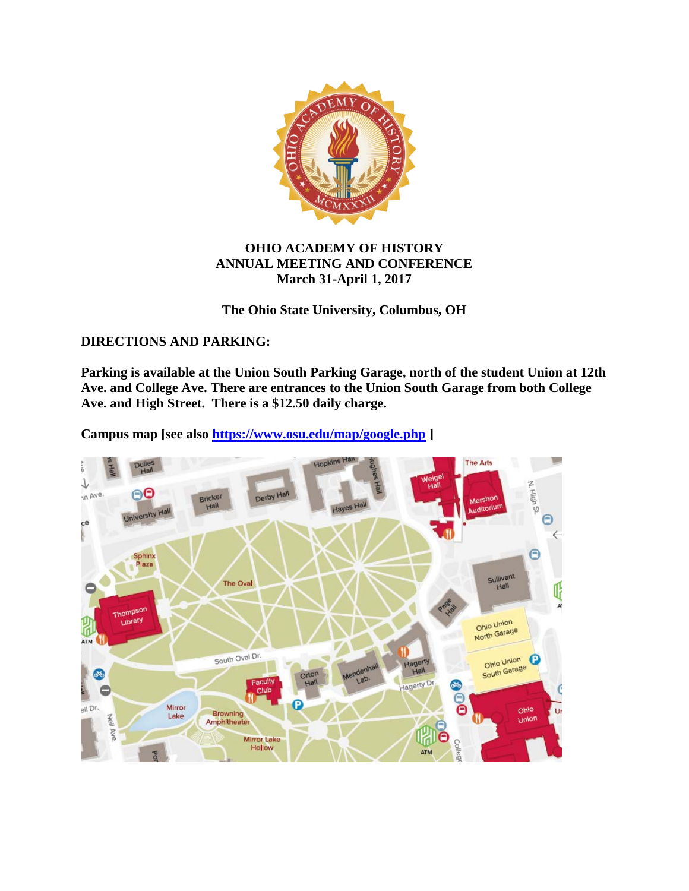

# **OHIO ACADEMY OF HISTORY ANNUAL MEETING AND CONFERENCE March 31-April 1, 2017**

# **The Ohio State University, Columbus, OH**

## **DIRECTIONS AND PARKING:**

**Parking is available at the Union South Parking Garage, north of the student Union at 12th Ave. and College Ave. There are entrances to the Union South Garage from both College Ave. and High Street. There is a \$12.50 daily charge.** 

**Campus map [see also<https://www.osu.edu/map/google.php> ]**

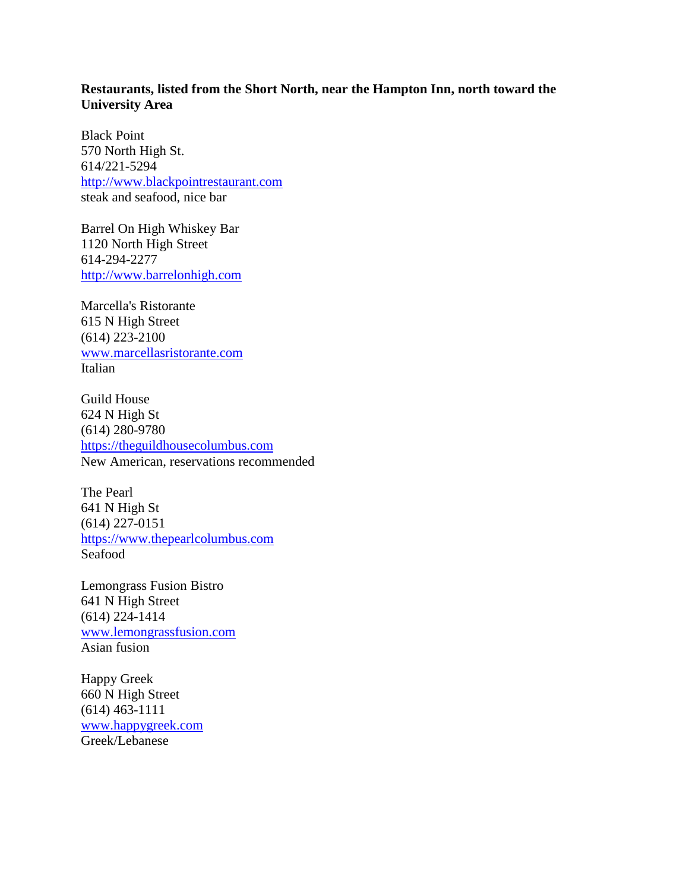## **Restaurants, listed from the Short North, near the Hampton Inn, north toward the University Area**

Black Point 570 North High St. 614/221-5294 [http://www.blackpointrestaurant.com](http://www.blackpointrestaurant.com/) steak and seafood, nice bar

Barrel On High Whiskey Bar 1120 North High Street 614-294-2277 [http://www.barrelonhigh.com](http://www.barrelonhigh.com/)

Marcella's Ristorante 615 N High Street (614) 223-2100 [www.marcellasristorante.com](http://www.marcellasristorante.com/) Italian

Guild House 624 N High St (614) 280-9780 [https://theguildhousecolumbus.com](https://theguildhousecolumbus.com/) New American, reservations recommended

The Pearl 641 N High St (614) 227-0151 [https://www.thepearlcolumbus.com](https://www.thepearlcolumbus.com/) Seafood

Lemongrass Fusion Bistro 641 N High Street (614) 224-1414 [www.lemongrassfusion.com](http://www.lemongrassfusion.com/) Asian fusion

Happy Greek 660 N High Street (614) 463-1111 [www.happygreek.com](http://www.happygreek.com/) Greek/Lebanese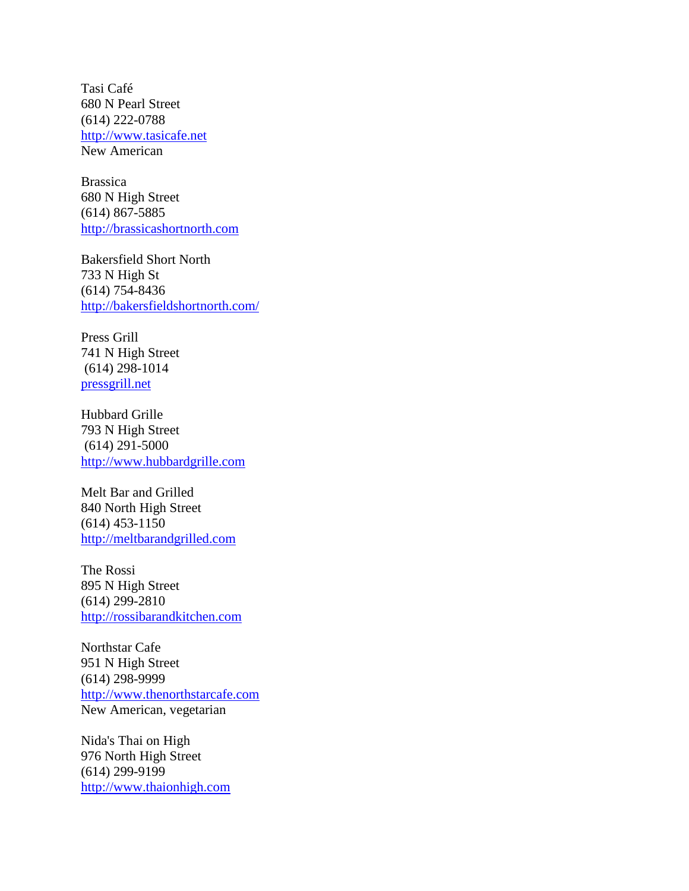Tasi Café 680 N Pearl Street (614) 222-0788 [http://www.tasicafe.net](http://www.tasicafe.net/) New American

Brassica 680 N High Street (614) 867-5885 [http://brassicashortnorth.com](http://brassicashortnorth.com/)

Bakersfield Short North 733 N High St (614) 754-8436 <http://bakersfieldshortnorth.com/>

Press Grill 741 N High Street (614) 298-1014 [pressgrill.net](http://pressgrill.net/)

Hubbard Grille 793 N High Street (614) 291-5000 [http://www.hubbardgrille.com](http://www.hubbardgrille.com/)

Melt Bar and Grilled 840 North High Street (614) 453-1150 [http://meltbarandgrilled.com](http://meltbarandgrilled.com/)

The Rossi 895 N High Street (614) 299-2810 [http://rossibarandkitchen.com](http://rossibarandkitchen.com/)

Northstar Cafe 951 N High Street (614) 298-9999 [http://www.thenorthstarcafe.com](http://www.thenorthstarcafe.com/) New American, vegetarian

Nida's Thai on High 976 North High Street (614) 299-9199 [http://www.thaionhigh.com](http://www.thaionhigh.com/)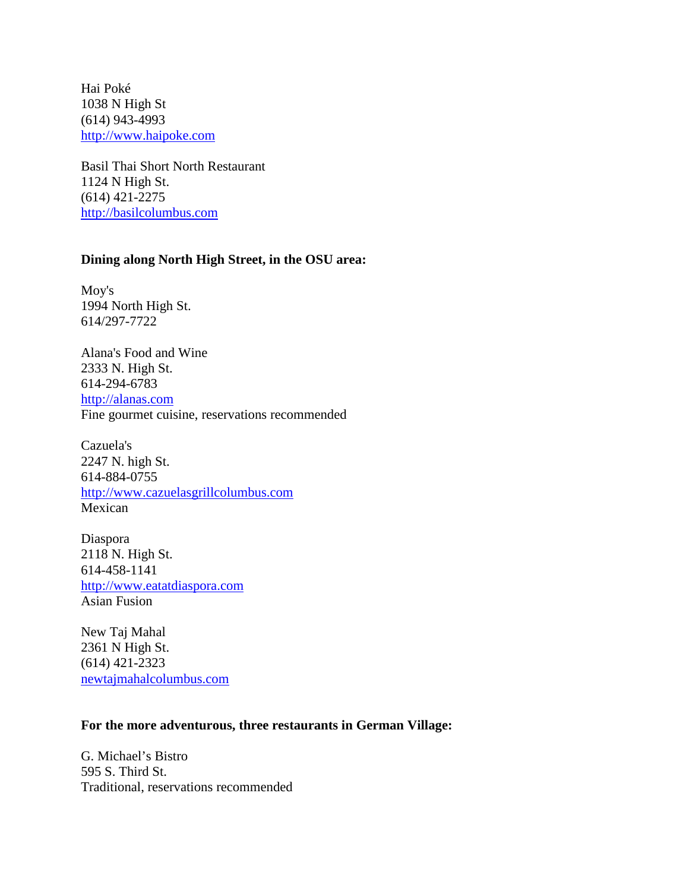Hai Poké 1038 N High St (614) 943-4993 [http://www.haipoke.com](http://www.haipoke.com/)

Basil Thai Short North Restaurant 1124 N High St. (614) 421-2275 [http://basilcolumbus.com](http://basilcolumbus.com/)

## **Dining along North High Street, in the OSU area:**

Moy's 1994 North High St. 614/297-7722

Alana's Food and Wine 2333 N. High St. 614-294-6783 [http://alanas.com](http://alanas.com/) Fine gourmet cuisine, reservations recommended

Cazuela's 2247 N. high St. 614-884-0755 [http://www.cazuelasgrillcolumbus.com](http://www.cazuelasgrillcolumbus.com/) Mexican

Diaspora 2118 N. High St. 614-458-1141 [http://www.eatatdiaspora.com](http://www.eatatdiaspora.com/) Asian Fusion

New Taj Mahal 2361 N High St. (614) 421-2323 [newtajmahalcolumbus.com](http://newtajmahalcolumbus.com/)

#### **For the more adventurous, three restaurants in German Village:**

G. Michael's Bistro 595 S. Third St. Traditional, reservations recommended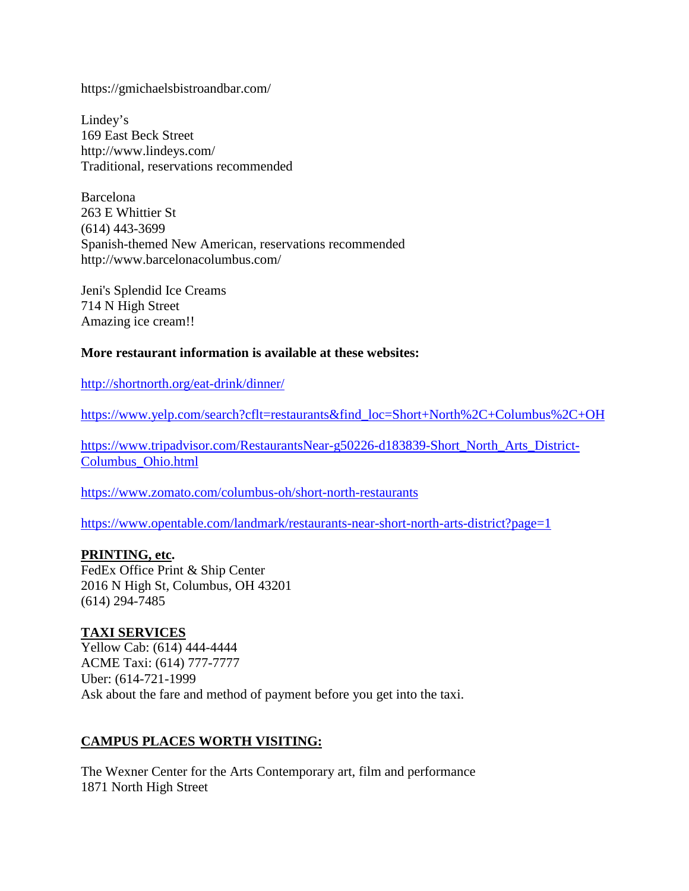https://gmichaelsbistroandbar.com/

Lindey's 169 East Beck Street http://www.lindeys.com/ Traditional, reservations recommended

Barcelona 263 E Whittier St (614) 443-3699 Spanish-themed New American, reservations recommended http://www.barcelonacolumbus.com/

Jeni's Splendid Ice Creams 714 N High Street Amazing ice cream!!

#### **More restaurant information is available at these websites:**

<http://shortnorth.org/eat-drink/dinner/>

[https://www.yelp.com/search?cflt=restaurants&find\\_loc=Short+North%2C+Columbus%2C+OH](https://www.yelp.com/search?cflt=restaurants&find_loc=Short+North%2C+Columbus%2C+OH)

[https://www.tripadvisor.com/RestaurantsNear-g50226-d183839-Short\\_North\\_Arts\\_District-](https://www.tripadvisor.com/RestaurantsNear-g50226-d183839-Short_North_Arts_District-Columbus_Ohio.html)[Columbus\\_Ohio.html](https://www.tripadvisor.com/RestaurantsNear-g50226-d183839-Short_North_Arts_District-Columbus_Ohio.html)

<https://www.zomato.com/columbus-oh/short-north-restaurants>

<https://www.opentable.com/landmark/restaurants-near-short-north-arts-district?page=1>

#### **PRINTING, etc.**

FedEx Office Print & Ship Center 2016 N High St, Columbus, OH 43201 (614) 294-7485

## **TAXI SERVICES**

Yellow Cab: (614) 444-4444 ACME Taxi: (614) 777-7777 Uber: (614-721-1999 Ask about the fare and method of payment before you get into the taxi.

## **CAMPUS PLACES WORTH VISITING:**

The Wexner Center for the Arts Contemporary art, film and performance 1871 North High Street